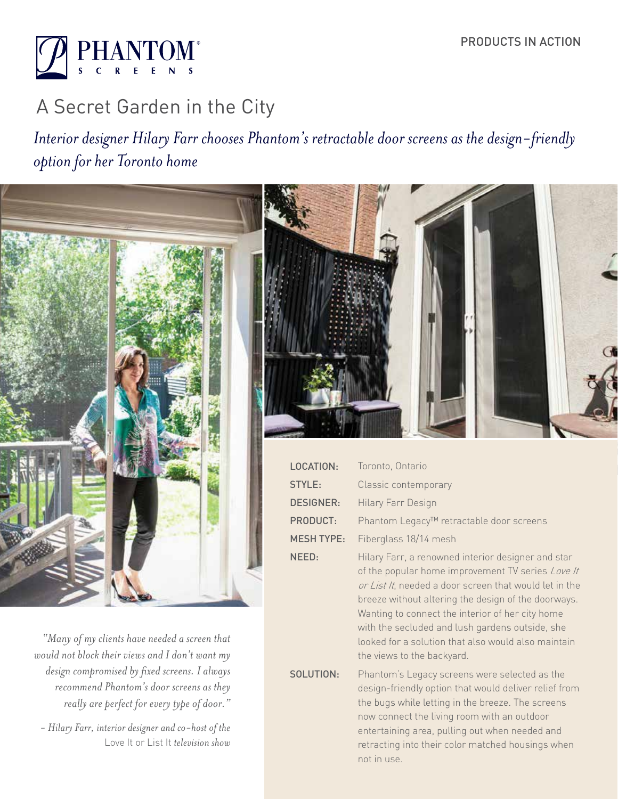

# A Secret Garden in the City

*Interior designer Hilary Farr chooses Phantom's retractable door screens as the design-friendly option for her Toronto home*



SOLUTION:

looked for a solution that also would also maintain

Phantom's Legacy screens were selected as the design-friendly option that would deliver relief from the bugs while letting in the breeze. The screens now connect the living room with an outdoor entertaining area, pulling out when needed and retracting into their color matched housings when

the views to the backyard.

not in use.

*"Many of my clients have needed a screen that would not block their views and I don't want my design compromised by fixed screens. I always recommend Phantom's door screens as they really are perfect for every type of door."* 

 *- Hilary Farr, interior designer and co-host of the*  Love It or List It *television show*